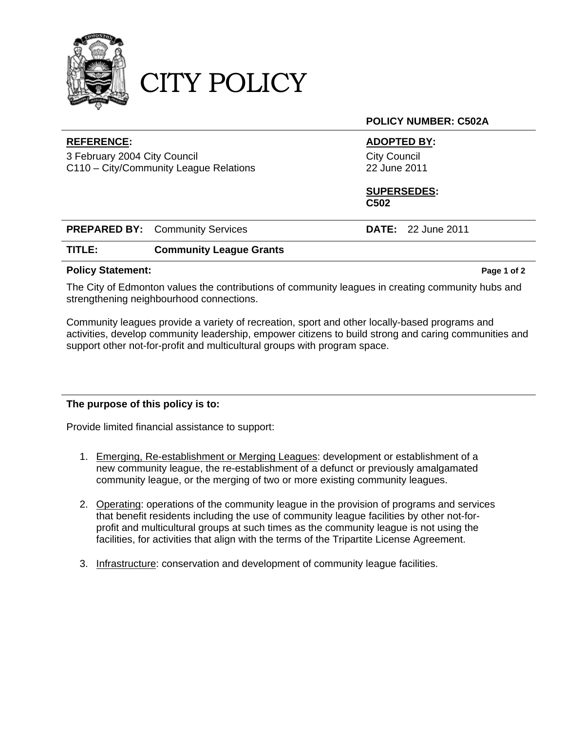

CITY POLICY

#### **REFERENCE: ADOPTED BY:**

3 February 2004 City Council C110 – City/Community League Relations **POLICY NUMBER: C502A** 

City Council 22 June 2011

#### **SUPERSEDES: C502**

|        | <b>PREPARED BY:</b> Community Services | <b>DATE:</b> 22 June 2011 |  |
|--------|----------------------------------------|---------------------------|--|
| TITLE: | <b>Community League Grants</b>         |                           |  |

#### **Policy Statement:** Policy Statement: Page 1 of 2

The City of Edmonton values the contributions of community leagues in creating community hubs and strengthening neighbourhood connections.

Community leagues provide a variety of recreation, sport and other locally-based programs and activities, develop community leadership, empower citizens to build strong and caring communities and support other not-for-profit and multicultural groups with program space.

## **The purpose of this policy is to:**

Provide limited financial assistance to support:

- 1. Emerging, Re-establishment or Merging Leagues: development or establishment of a new community league, the re-establishment of a defunct or previously amalgamated community league, or the merging of two or more existing community leagues.
- 2. Operating: operations of the community league in the provision of programs and services that benefit residents including the use of community league facilities by other not-forprofit and multicultural groups at such times as the community league is not using the facilities, for activities that align with the terms of the Tripartite License Agreement.
- 3. Infrastructure: conservation and development of community league facilities.